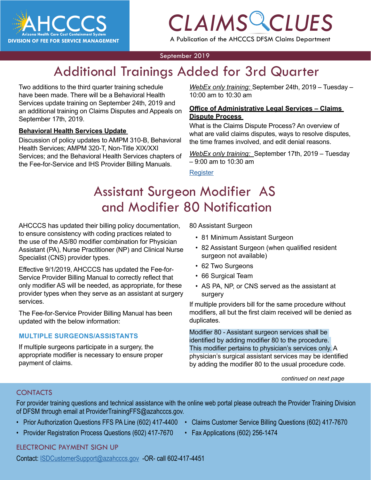

# *CLAIMS CLUES*

A Publication of the AHCCCS DFSM Claims Department

#### September 2019

## Additional Trainings Added for 3rd Quarter

Two additions to the third quarter training schedule have been made. There will be a Behavioral Health Services update training on September 24th, 2019 and an additional training on Claims Disputes and Appeals on September 17th, 2019.

#### **Behavioral Health Services Update**

Discussion of policy updates to AMPM 310-B, Behavioral Health Services; AMPM 320-T, Non-Title XIX/XXI Services; and the Behavioral Health Services chapters of the Fee-for-Service and IHS Provider Billing Manuals.

*CLAIMS CLAIMS COLLICE*<br> *CLAIMS CLAIMS COLLICE*<br>
m to 10:30 am *WebEx only training:* September 24th, 2019 – Tuesday – 10:00 am to 10:30 am

#### **Office of Administrative Legal Services – Claims Dispute Process**

What is the Claims Dispute Process? An overview of what are valid claims disputes, ways to resolve disputes, the time frames involved, and edit denial reasons.

*WebEx only training:* September 17th, 2019 – Tuesday – 9:00 am to 10:30 am

**[Register](https://azgov.webex.com/azgov/j.php?RGID=r090311bf053ee6af715a93b5f5c0fcd0)** 

## Assistant Surgeon Modifier AS and Modifier 80 Notification

AHCCCS has updated their billing policy documentation, to ensure consistency with coding practices related to the use of the AS/80 modifier combination for Physician Assistant (PA), Nurse Practitioner (NP) and Clinical Nurse Specialist (CNS) provider types.

Effective 9/1/2019, AHCCCS has updated the Fee-for-Service Provider Billing Manual to correctly reflect that only modifier AS will be needed, as appropriate, for these provider types when they serve as an assistant at surgery services.

The Fee-for-Service Provider Billing Manual has been updated with the below information:

#### **MULTIPLE SURGEONS/ASSISTANTS**

If multiple surgeons participate in a surgery, the appropriate modifier is necessary to ensure proper payment of claims.

80 Assistant Surgeon

- 81 Minimum Assistant Surgeon
- 82 Assistant Surgeon (when qualified resident surgeon not available)
- 62 Two Surgeons
- 66 Surgical Team
- AS PA, NP, or CNS served as the assistant at surgery

If multiple providers bill for the same procedure without modifiers, all but the first claim received will be denied as duplicates.

Modifier 80 - Assistant surgeon services shall be identified by adding modifier 80 to the procedure. This modifier pertains to physician's services only. A physician's surgical assistant services may be identified by adding the modifier 80 to the usual procedure code.

*continued on next page*

#### **CONTACTS**

For provider training questions and technical assistance with the online web portal please outreach the Provider Training Division of DFSM through email at ProviderTrainingFFS@azahcccs.gov.

- Prior Authorization Questions FFS PA Line (602) 417-4400 Claims Customer Service Billing Questions (602) 417-7670
- Provider Registration Process Questions (602) 417-7670 Fax Applications (602) 256-1474
- -

#### [ELECTRONIC PAYMENT SIGN UP](mailto:ProviderTrainingFFS%40azahcccs.gov%20?subject=)

[Contact: ISDCustomerSupport@azahcccs.gov -OR- call 602-417-4451](mailto:ProviderTrainingFFS%40azahcccs.gov%20?subject=)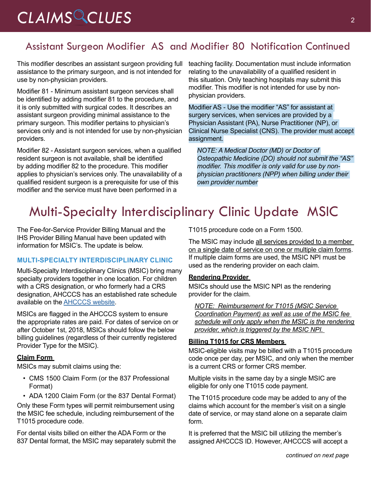## *CLAIMS CLUES* <sup>2</sup>

### Assistant Surgeon Modifier AS and Modifier 80 Notification Continued

This modifier describes an assistant surgeon providing full assistance to the primary surgeon, and is not intended for use by non-physician providers.

Modifier 81 - Minimum assistant surgeon services shall be identified by adding modifier 81 to the procedure, and it is only submitted with surgical codes. It describes an assistant surgeon providing minimal assistance to the primary surgeon. This modifier pertains to physician's services only and is not intended for use by non-physician providers.

Modifier 82 - Assistant surgeon services, when a qualified resident surgeon is not available, shall be identified by adding modifier 82 to the procedure. This modifier applies to physician's services only. The unavailability of a qualified resident surgeon is a prerequisite for use of this modifier and the service must have been performed in a

teaching facility. Documentation must include information relating to the unavailability of a qualified resident in this situation. Only teaching hospitals may submit this modifier. This modifier is not intended for use by nonphysician providers.

Modifier AS - Use the modifier "AS" for assistant at surgery services, when services are provided by a Physician Assistant (PA), Nurse Practitioner (NP), or Clinical Nurse Specialist (CNS). The provider must accept assignment.

*NOTE: A Medical Doctor (MD) or Doctor of Osteopathic Medicine (DO) should not submit the "AS" modifier. This modifier is only valid for use by nonphysician practitioners (NPP) when billing under their own provider number*

## Multi-Specialty Interdisciplinary Clinic Update MSIC

The Fee-for-Service Provider Billing Manual and the IHS Provider Billing Manual have been updated with information for MSIC's. The update is below.

#### **MULTI-SPECIALTY INTERDISCIPLINARY CLINIC**

Multi-Specialty Interdisciplinary Clinics (MSIC) bring many specialty providers together in one location. For children with a CRS designation, or who formerly had a CRS designation, AHCCCS has an established rate schedule available on the [AHCCCS website](https://www.azahcccs.gov/PlansProviders/RatesAndBilling/FFS/MSICrates.html).

MSICs are flagged in the AHCCCS system to ensure the appropriate rates are paid. For dates of service on or after October 1st, 2018, MSICs should follow the below billing guidelines (regardless of their currently registered Provider Type for the MSIC).

#### **Claim Form**

MSICs may submit claims using the:

- CMS 1500 Claim Form (or the 837 Professional Format)
- ADA 1200 Claim Form (or the 837 Dental Format)

Only these Form types will permit reimbursement using the MSIC fee schedule, including reimbursement of the T1015 procedure code.

For dental visits billed on either the ADA Form or the 837 Dental format, the MSIC may separately submit the T1015 procedure code on a Form 1500.

The MSIC may include all services provided to a member on a single date of service on one or multiple claim forms. If multiple claim forms are used, the MSIC NPI must be used as the rendering provider on each claim.

#### **Rendering Provider**

MSICs should use the MSIC NPI as the rendering provider for the claim.

*NOTE: Reimbursement for T1015 (MSIC Service Coordination Payment) as well as use of the MSIC fee schedule will only apply when the MSIC is the rendering provider, which is triggered by the MSIC NPI.* 

#### **Billing T1015 for CRS Members**

MSIC-eligible visits may be billed with a T1015 procedure code once per day, per MSIC, and only when the member is a current CRS or former CRS member.

Multiple visits in the same day by a single MSIC are eligible for only one T1015 code payment.

The T1015 procedure code may be added to any of the claims which account for the member's visit on a single date of service, or may stand alone on a separate claim form.

It is preferred that the MSIC bill utilizing the member's assigned AHCCCS ID. However, AHCCCS will accept a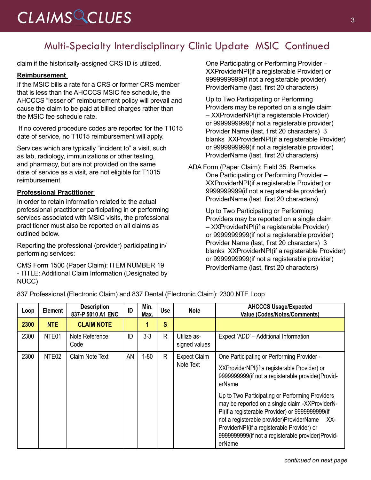## CLAIMS CLUES<sup>3</sup>

### Multi-Specialty Interdisciplinary Clinic Update MSIC Continued

claim if the historically-assigned CRS ID is utilized.

#### **Reimbursement**

If the MSIC bills a rate for a CRS or former CRS member that is less than the AHCCCS MSIC fee schedule, the AHCCCS "lesser of" reimbursement policy will prevail and cause the claim to be paid at billed charges rather than the MSIC fee schedule rate.

 If no covered procedure codes are reported for the T1015 date of service, no T1015 reimbursement will apply.

Services which are typically "incident to" a visit, such as lab, radiology, immunizations or other testing, and pharmacy, but are not provided on the same date of service as a visit, are not eligible for T1015 reimbursement.

#### **Professional Practitioner**

In order to retain information related to the actual professional practitioner participating in or performing services associated with MSIC visits, the professional practitioner must also be reported on all claims as outlined below.

Reporting the professional (provider) participating in/ performing services:

CMS Form 1500 (Paper Claim): ITEM NUMBER 19 - TITLE: Additional Claim Information (Designated by NUCC)

One Participating or Performing Provider – XXProviderNPI(if a registerable Provider) or 9999999999(if not a registerable provider) ProviderName (last, first 20 characters)

Up to Two Participating or Performing Providers may be reported on a single claim – XXProviderNPI(if a registerable Provider) or 9999999999(if not a registerable provider) Provider Name (last, first 20 characters) 3 blanks XXProviderNPI(if a registerable Provider) or 9999999999(if not a registerable provider) ProviderName (last, first 20 characters)

ADA Form (Paper Claim): Field 35. Remarks One Participating or Performing Provider – XXProviderNPI(if a registerable Provider) or 9999999999(if not a registerable provider) ProviderName (last, first 20 characters)

> Up to Two Participating or Performing Providers may be reported on a single claim – XXProviderNPI(if a registerable Provider) or 9999999999(if not a registerable provider) Provider Name (last, first 20 characters) 3 blanks XXProviderNPI(if a registerable Provider) or 9999999999(if not a registerable provider) ProviderName (last, first 20 characters)

837 Professional (Electronic Claim) and 837 Dental (Electronic Claim): 2300 NTE Loop

| Loop | <b>Element</b>    | <b>Description</b><br>837-P 5010 A1 ENC | ID | Min.<br>Max. | <b>Use</b>   | <b>Note</b>                      | <b>AHCCCS Usage/Expected</b><br><b>Value (Codes/Notes/Comments)</b>                                                                                                                                                                                                                                                                                                                                                                                                                |
|------|-------------------|-----------------------------------------|----|--------------|--------------|----------------------------------|------------------------------------------------------------------------------------------------------------------------------------------------------------------------------------------------------------------------------------------------------------------------------------------------------------------------------------------------------------------------------------------------------------------------------------------------------------------------------------|
| 2300 | <b>NTE</b>        | <b>CLAIM NOTE</b>                       |    |              | S            |                                  |                                                                                                                                                                                                                                                                                                                                                                                                                                                                                    |
| 2300 | NTE01             | Note Reference<br>Code                  | ID | $3 - 3$      | R.           | Utilize as-<br>signed values     | Expect 'ADD' - Additional Information                                                                                                                                                                                                                                                                                                                                                                                                                                              |
| 2300 | NTE <sub>02</sub> | Claim Note Text                         | AN | $1 - 80$     | $\mathsf{R}$ | <b>Expect Claim</b><br>Note Text | One Participating or Performing Provider -<br>XXProviderNPI(if a registerable Provider) or<br>9999999999(if not a registerable provider)Provid-<br>erName<br>Up to Two Participating or Performing Providers<br>may be reported on a single claim -XXProviderN-<br>Pl(if a registerable Provider) or 9999999999(if<br>not a registerable provider)ProviderName<br>XX-<br>ProviderNPI(if a registerable Provider) or<br>9999999999(if not a registerable provider)Provid-<br>erName |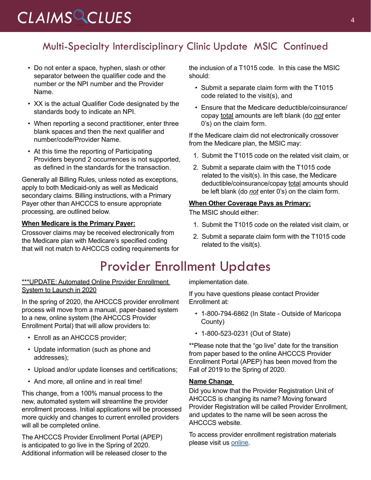## *CLAIMS CLUES* <sup>4</sup>

### Multi-Specialty Interdisciplinary Clinic Update MSIC Continued

- Do not enter a space, hyphen, slash or other separator between the qualifier code and the number or the NPI number and the Provider Name.
- XX is the actual Qualifier Code designated by the standards body to indicate an NPI.
- When reporting a second practitioner, enter three blank spaces and then the next qualifier and number/code/Provider Name.
- At this time the reporting of Participating Providers beyond 2 occurrences is not supported, as defined in the standards for the transaction.

Generally all Billing Rules, unless noted as exceptions, apply to both Medicaid-only as well as Medicaid secondary claims. Billing instructions, with a Primary Payer other than AHCCCS to ensure appropriate processing, are outlined below.

#### **When Medicare is the Primary Payer:**

Crossover claims may be received electronically from the Medicare plan with Medicare's specified coding that will not match to AHCCCS coding requirements for

## Provider Enrollment Updates

\*\*\*UPDATE: Automated Online Provider Enrollment System to Launch in 2020

In the spring of 2020, the AHCCCS provider enrollment process will move from a manual, paper-based system to a new, online system (the AHCCCS Provider Enrollment Portal) that will allow providers to:

- Enroll as an AHCCCS provider;
- Update information (such as phone and addresses);
- Upload and/or update licenses and certifications;
- And more, all online and in real time!

This change, from a 100% manual process to the new, automated system will streamline the provider enrollment process. Initial applications will be processed more quickly and changes to current enrolled providers will all be completed online.

The AHCCCS Provider Enrollment Portal (APEP) is anticipated to go live in the Spring of 2020. Additional information will be released closer to the the inclusion of a T1015 code. In this case the MSIC should:

- Submit a separate claim form with the T1015 code related to the visit(s), and
- Ensure that the Medicare deductible/coinsurance/ copay total amounts are left blank (do *not* enter 0's) on the claim form.

If the Medicare claim did not electronically crossover from the Medicare plan, the MSIC may:

- 1. Submit the T1015 code on the related visit claim, or
- 2. Submit a separate claim with the T1015 code related to the visit(s). In this case, the Medicare deductible/coinsurance/copay total amounts should be left blank (do *not* enter 0's) on the claim form.

#### **When Other Coverage Pays as Primary:**

The MSIC should either:

- 1. Submit the T1015 code on the related visit claim, or
- 2. Submit a separate claim form with the T1015 code related to the visit(s).

implementation date.

If you have questions please contact Provider Enrollment at:

- 1-800-794-6862 (In State Outside of Maricopa County)
- 1-800-523-0231 (Out of State)

\*\*Please note that the "go live" date for the transition from paper based to the online AHCCCS Provider Enrollment Portal (APEP) has been moved from the Fall of 2019 to the Spring of 2020.

#### **Name Change**

Did you know that the Provider Registration Unit of AHCCCS is changing its name? Moving forward Provider Registration will be called Provider Enrollment, and updates to the name will be seen across the AHCCCS website.

To access provider enrollment registration materials please visit us [online](https://www.azahcccs.gov/PlansProviders/NewProviders/registration.html).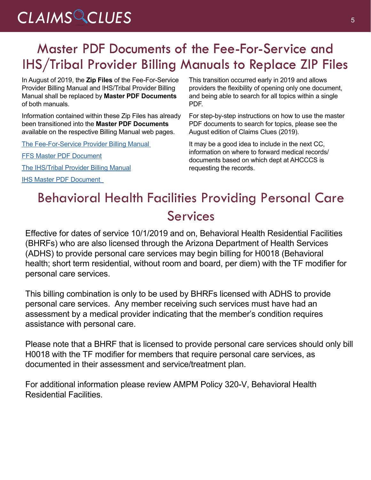## CLAIMS CLUES<sup>5</sup>

## Master PDF Documents of the Fee-For-Service and IHS/Tribal Provider Billing Manuals to Replace ZIP Files

In August of 2019, the **Zip Files** of the Fee-For-Service Provider Billing Manual and IHS/Tribal Provider Billing Manual shall be replaced by **Master PDF Documents** of both manuals.

Information contained within these Zip Files has already been transitioned into the **Master PDF Documents** available on the respective Billing Manual web pages.

[The Fee-For-Service Provider Billing Manual](https://www.azahcccs.gov/PlansProviders/RatesAndBilling/FFS/providermanual.html
) 

[FFS Master PDF Document](https://www.azahcccs.gov/PlansProviders/Downloads/FFSProviderManual/MasterFFSManual.pdf)

[The IHS/Tribal Provider Billing Manual](https://www.azahcccs.gov/PlansProviders/RatesAndBilling/ProviderManuals/IHStribalbillingManual.htmlhttp://)

[IHS Master PDF Document](https://www.azahcccs.gov/PlansProviders/Downloads/IHS-TribalManual/MasterIHSManual.pdf) 

This transition occurred early in 2019 and allows providers the flexibility of opening only one document, and being able to search for all topics within a single PDF.

For step-by-step instructions on how to use the master PDF documents to search for topics, please see the August edition of Claims Clues (2019).

It may be a good idea to include in the next CC, information on where to forward medical records/ documents based on which dept at AHCCCS is requesting the records.

## Behavioral Health Facilities Providing Personal Care Services

Effective for dates of service 10/1/2019 and on, Behavioral Health Residential Facilities (BHRFs) who are also licensed through the Arizona Department of Health Services (ADHS) to provide personal care services may begin billing for H0018 (Behavioral health; short term residential, without room and board, per diem) with the TF modifier for personal care services.

This billing combination is only to be used by BHRFs licensed with ADHS to provide personal care services. Any member receiving such services must have had an assessment by a medical provider indicating that the member's condition requires assistance with personal care.

Please note that a BHRF that is licensed to provide personal care services should only bill H0018 with the TF modifier for members that require personal care services, as documented in their assessment and service/treatment plan.

For additional information please review AMPM Policy 320-V, Behavioral Health Residential Facilities.